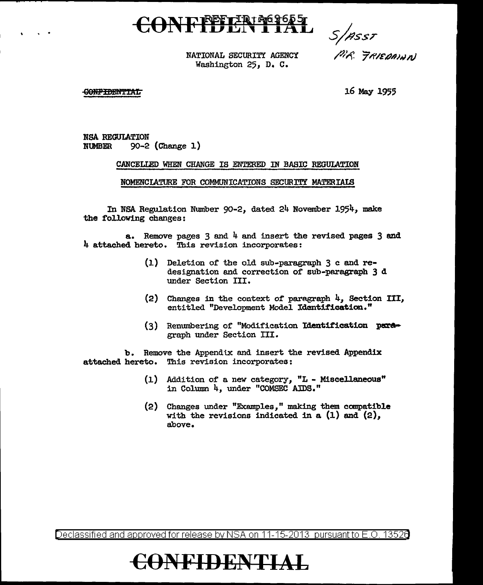# CONFILENTIAL

*s;?ssT* 

NATIONAL SECURITY AGENCY Washington 25, D. C.

/Jif *pP/EQ/JI,V/1)* 

#### **CONFIDENTIAL**

. .

16 May 1955

NSA REGULATION<br>NUMBER 90-2 90-2 (Change 1)

#### CANCELIED WHEN CHANGE IS ENTERED IN BABIC REGULATION

NOMENClATURE FOR COMMUNICATIONS SECURITY MATERIAlS

In NSA Regulation Number 90-2, dated 24 November 1954, make the following changes:

a. Remove pages 3 and 4 and insert the revised pages 3 and 4 attached hereto. This revision incorporates:

- (1) Deletion of the old sub-paragraph 3 c and redesignation and correction of sub-paragraph 3 d under Section III.
- (2) Changes in the context of paragraph 4, Section III, entitled "Development Model Identification."
- $(3)$  Renumbering of "Modification Identification paragraph under Section III.

b. Remove the Appendix and insert the revised Appendix attached hereto. This revision incorporates:

- (1) Addition of a. new category, "L Miscellaneous" in Column 4, under "COMSEC AIDS."
- (2) Changes under "Examples," making them canpatib1e with the revisions indicated in a  $(1)$  and  $(2)$ , above.

Declassified and approved for release by NSA on 11-15-2013 pursuant to E .0. 1352e

### **€()NFIDENTIAL**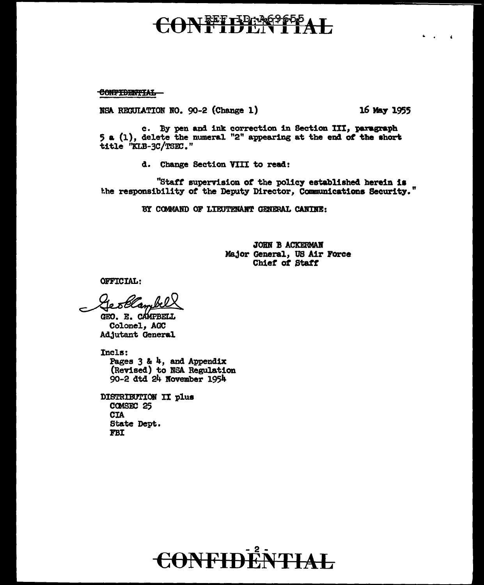# I<del>REFILD: 26965</del>

CONFIDENTIAL

NSA RECULATION NO. 90-2 (Change 1) 16 May 1955

~ .

c. By pen and ink correction in Section III, paragraph 5 a (1), delete the numeral "2" appeariag at the ead of the ahor\ title "KLB-3C/TSEC."

d. Change Section VIII to read:

"Staff supervision of the policy established herein is the responsibility of the Deputy Director, Communications Security."

BY COMMAND OF LIEUTENANT GENERAL CANINE:

JOHN B ACKERMAN MaJor General, US Air Force Chief of Staff

OFFICIAL:

5 Glam

GEO. E. CAMPBELL Colonel, AGC AdJutant General

Incls: Pages  $3$  &  $4$ , and Appendix (Revised) to NSA Regulation 90-2 dtd 24 Kovember 1954

DISTRIBUTION II plus **COMSEC 25** CIA State Dept. FBI

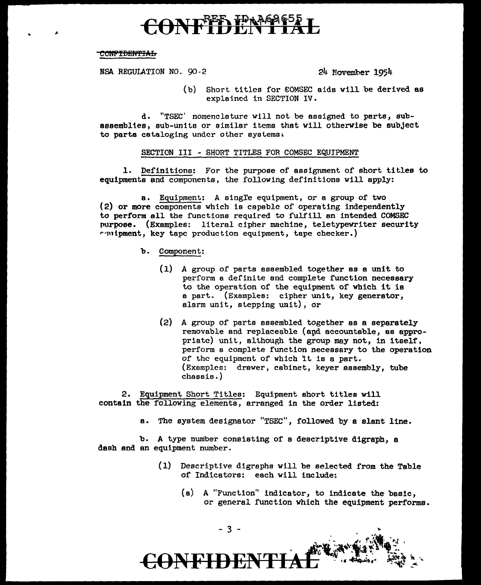# **REED IPAAA**

#### CONFIDENTIAL

NSA REGULATION NO. 90-2 24 November 1954

(b) Short titles for €0MSEC aids will be derived as explained in SECTION IV.

d. "TSEC' nomenclature will not be assigned to parts, subassemblies, sub-units or similar items that will othervise be subject to parts cataloging under other systems.

#### SECTION III - SHORT TITLES FOR COMSEC EQUIPMENT

1. Definitions: For the purpose of assignment of short titles to equipments and components, the following definitions will apply:

a. Equipment: A single equipment, or a group of two (2) or more components which is capable of operating independently to perform all the functions required to fulfill an intended COMSEC purpose. (Examples: literal cipher machine, teletypewriter security  $r$  $\left(\frac{m}{m}t\right)$ , key tape production equipment, tape checker.)

- b. Component:
	- (1) A group of parts assembled together as a unit to perform a definite and complete function necessary to the operation of the equipment of which it is a part. (Examples: cipher unit, key generator, alarm unit, stepping unit}, or
	- (2) A group of parts assembled together as a separately removable and replaceable (apd accountable, as appropriate) unit, although the group may not, in itself, perform a complete function necessary to the operation of the equipment of which it is a part. (Examples: drawer, cabinet, keyer assembly, tube chassis.)

2. Equipment Short Titles: Equipment short titles will contain the following elements, arranged in the order listed:

a. The system designator "TSEC", followed by a slant line.

b. A type number consisting of a descriptive digraph, a dash and an equipment number.

- (1) Descriptive digraphs will be selected from the Table of Indicators: each will include:
	- (a) A "Function'' indicator, to indicate the basic, or general function which the equipment performs.

- 3 -

**ONFIDE!**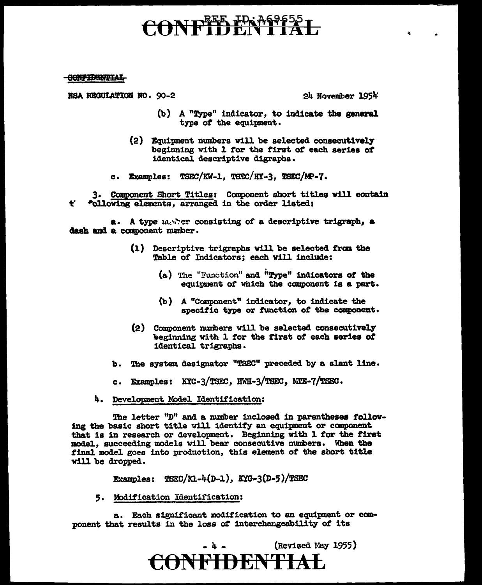# CONFIDENTIAL

**CONFIDENTIAL** 

 $\text{BSA}$  REGULATION NO. 90-2 24 November 1954

- (b) A "Type" indicator, to indicate the general type of the equipment.
- (2) Equipment numbers will be selected consecutivel7 beginning with 1 for the first of each series of identical descriptive digraphs.
- c. Examples:  $TSEC/KW-1$ ,  $TSEC/HY-3$ ,  $TSEC/MP-7$ .

t• 3. Component Short Titles: Component short titles will contain -~'ollowing elements, arranged in the order listed:

a. A type marrier consisting of a descriptive trigraph, a dash and a component number.

- (1) Descriptive trigraphs will be selected *traa* the Table of Indicators; each will include:
	- (a) The "Function" and i'Type" indicators *ot* the equipment *ot* which the component is a part;.
	- (b) A "Component" indicator, to indicate the specific type or fUnction *ot* the component.
- (2) Component numbers will be selected consecutively beginning with 1 for the first of each series of identical trigraphs.
- b. The system designator "TSEC" preceded by a slant line.
- c. Examples:  $KXC-3/TSEC$ ,  $HWH-3/TSEC$ ,  $NTE-7/TSEC$ .
- 4. Development Model Identification:

The letter "D" and a number inclosed in parentheses following the basic short title will identify an equipment or component that is in research or development. Beginning with 1 for the first model., succeeding models will bear consecutive numbers. When the final model goes into production, this element of the short title will be dropped.

Examples:  $TSEC/KL-4(D-1), KIG-3(D-5)/TSEC$ 

5. Modification Identification:

a. Each significant modification to an equipment or cca· ponent that results in the loss of interchangeability of its

> $\left(Revised$  May 1955) **CONFIDENTIAL**